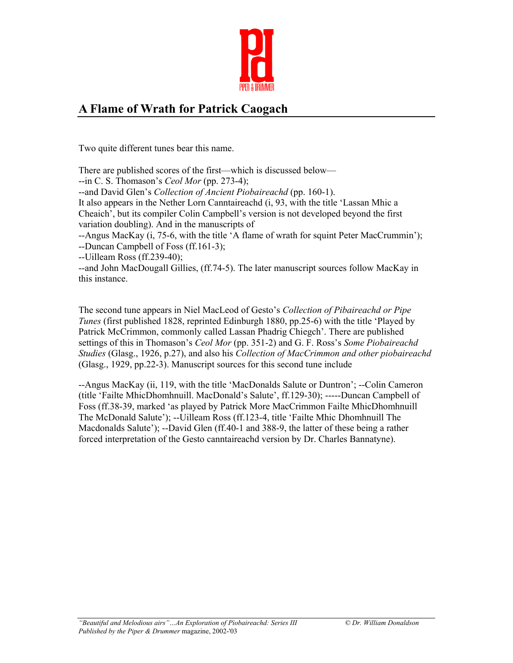

## **A Flame of Wrath for Patrick Caogach**

Two quite different tunes bear this name.

There are published scores of the first—which is discussed below—

--in C. S. Thomason's *Ceol Mor* (pp. 273-4);

--and David Glen's *Collection of Ancient Piobaireachd* (pp. 160-1).

It also appears in the Nether Lorn Canntaireachd (i, 93, with the title 'Lassan Mhic a Cheaich', but its compiler Colin Campbell's version is not developed beyond the first variation doubling). And in the manuscripts of

--Angus MacKay (i, 75-6, with the title 'A flame of wrath for squint Peter MacCrummin'); --Duncan Campbell of Foss (ff.161-3);

--Uilleam Ross (ff.239-40);

--and John MacDougall Gillies, (ff.74-5). The later manuscript sources follow MacKay in this instance.

The second tune appears in Niel MacLeod of Gesto's *Collection of Pibaireachd or Pipe Tunes* (first published 1828, reprinted Edinburgh 1880, pp.25-6) with the title 'Played by Patrick McCrimmon, commonly called Lassan Phadrig Chiegch'. There are published settings of this in Thomason's *Ceol Mor* (pp. 351-2) and G. F. Ross's *Some Piobaireachd Studies* (Glasg., 1926, p.27), and also his *Collection of MacCrimmon and other piobaireachd* (Glasg., 1929, pp.22-3). Manuscript sources for this second tune include

--Angus MacKay (ii, 119, with the title 'MacDonalds Salute or Duntron'; --Colin Cameron (title 'Failte MhicDhomhnuill. MacDonald's Salute', ff.129-30); -----Duncan Campbell of Foss (ff.38-39, marked 'as played by Patrick More MacCrimmon Failte MhicDhomhnuill The McDonald Salute'); --Uilleam Ross (ff.123-4, title 'Failte Mhic Dhomhnuill The Macdonalds Salute'); --David Glen (ff.40-1 and 388-9, the latter of these being a rather forced interpretation of the Gesto canntaireachd version by Dr. Charles Bannatyne).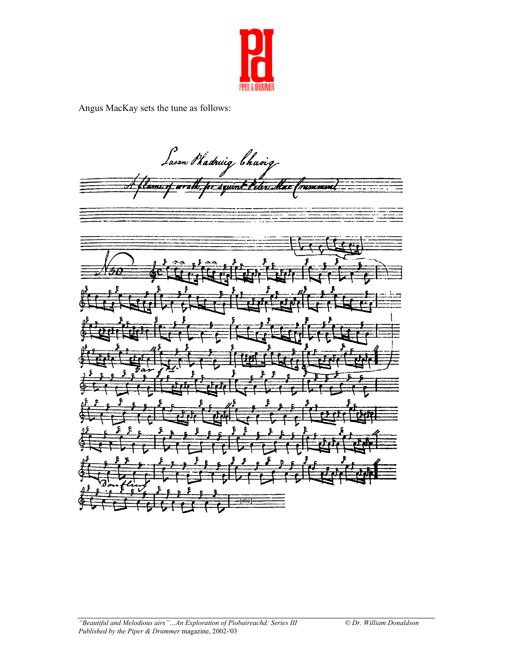

Angus MacKay sets the tune as follows:

Lasan Phadruig Chaoig for squimt Peter Acce tame of arrack mancounce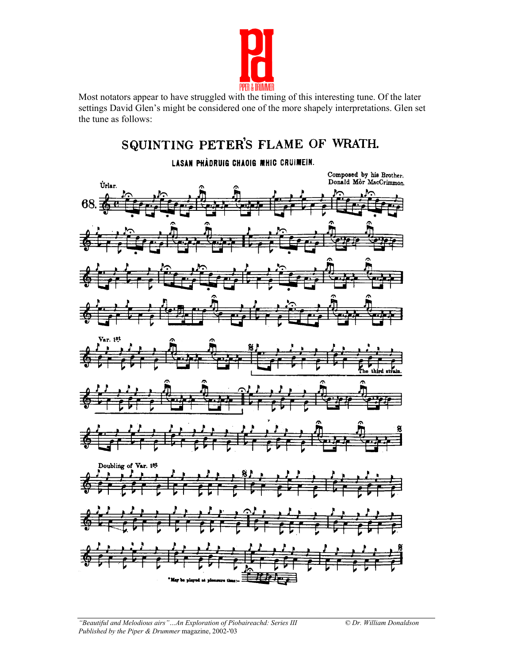

Most notators appear to have struggled with the timing of this interesting tune. Of the later settings David Glen's might be considered one of the more shapely interpretations. Glen set the tune as follows:

## SQUINTING PETER'S FLAME OF WRATH.

## LASAN PHÀDRUIG CHAOIG MHIC CRUIMEIN.

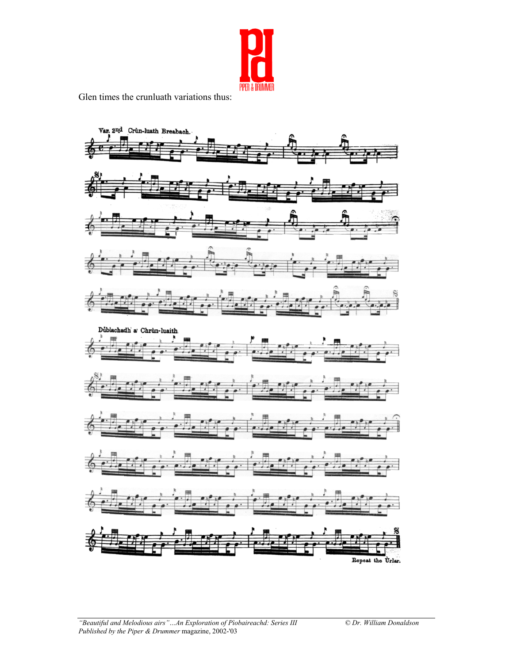

Glen times the crunluath variations thus:

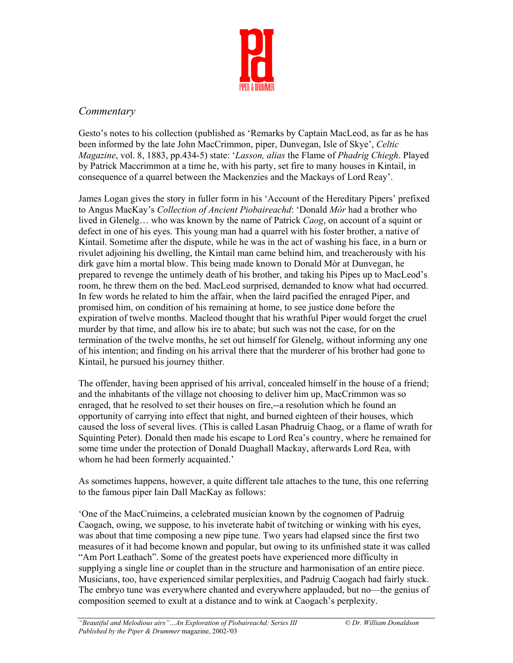

## *Commentary*

Gesto's notes to his collection (published as 'Remarks by Captain MacLeod, as far as he has been informed by the late John MacCrimmon, piper, Dunvegan, Isle of Skye', *Celtic Magazine*, vol. 8, 1883, pp.434-5) state: '*Lasson, alias* the Flame of *Phadrig Chiegh*. Played by Patrick Maccrimmon at a time he, with his party, set fire to many houses in Kintail, in consequence of a quarrel between the Mackenzies and the Mackays of Lord Reay'.

James Logan gives the story in fuller form in his 'Account of the Hereditary Pipers' prefixed to Angus MacKay's *Collection of Ancient Piobaireachd*: 'Donald *Mòr* had a brother who lived in Glenelg… who was known by the name of Patrick *Caog*, on account of a squint or defect in one of his eyes. This young man had a quarrel with his foster brother, a native of Kintail. Sometime after the dispute, while he was in the act of washing his face, in a burn or rivulet adjoining his dwelling, the Kintail man came behind him, and treacherously with his dirk gave him a mortal blow. This being made known to Donald Mòr at Dunvegan, he prepared to revenge the untimely death of his brother, and taking his Pipes up to MacLeod's room, he threw them on the bed. MacLeod surprised, demanded to know what had occurred. In few words he related to him the affair, when the laird pacified the enraged Piper, and promised him, on condition of his remaining at home, to see justice done before the expiration of twelve months. Macleod thought that his wrathful Piper would forget the cruel murder by that time, and allow his ire to abate; but such was not the case, for on the termination of the twelve months, he set out himself for Glenelg, without informing any one of his intention; and finding on his arrival there that the murderer of his brother had gone to Kintail, he pursued his journey thither.

The offender, having been apprised of his arrival, concealed himself in the house of a friend; and the inhabitants of the village not choosing to deliver him up, MacCrimmon was so enraged, that he resolved to set their houses on fire,--a resolution which he found an opportunity of carrying into effect that night, and burned eighteen of their houses, which caused the loss of several lives. (This is called Lasan Phadruig Chaog, or a flame of wrath for Squinting Peter). Donald then made his escape to Lord Rea's country, where he remained for some time under the protection of Donald Duaghall Mackay, afterwards Lord Rea, with whom he had been formerly acquainted.'

As sometimes happens, however, a quite different tale attaches to the tune, this one referring to the famous piper Iain Dall MacKay as follows:

'One of the MacCruimeins, a celebrated musician known by the cognomen of Padruig Caogach, owing, we suppose, to his inveterate habit of twitching or winking with his eyes, was about that time composing a new pipe tune. Two years had elapsed since the first two measures of it had become known and popular, but owing to its unfinished state it was called "Am Port Leathach". Some of the greatest poets have experienced more difficulty in supplying a single line or couplet than in the structure and harmonisation of an entire piece. Musicians, too, have experienced similar perplexities, and Padruig Caogach had fairly stuck. The embryo tune was everywhere chanted and everywhere applauded, but no—the genius of composition seemed to exult at a distance and to wink at Caogach's perplexity.